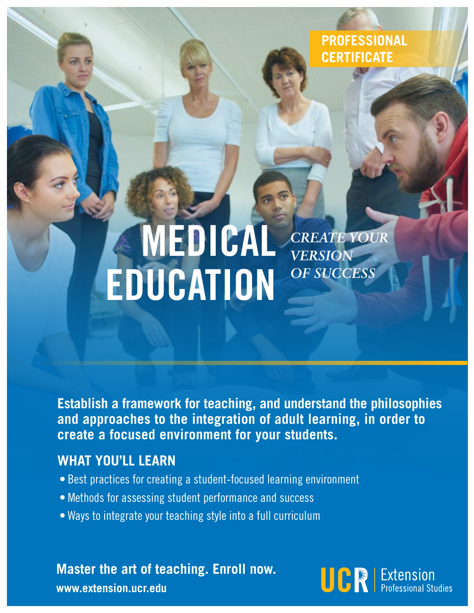**PROFESSIONAL CERTIFICATE**

# *CREATE YOUR VERSION OF SUCCESS*  MEDICAL EDUCATION

**Establish a framework for teaching, and understand the philosophies and approaches to the integration of adult learning, in order to create a focused environment for your students.**

### **WHAT YOU'LL LEARN**

- Best practices for creating a student-focused learning environment
- Methods for assessing student performance and success
- Ways to integrate your teaching style into a full curriculum

**Master the art of teaching. Enroll now.**



**www.extension.ucr.edu**